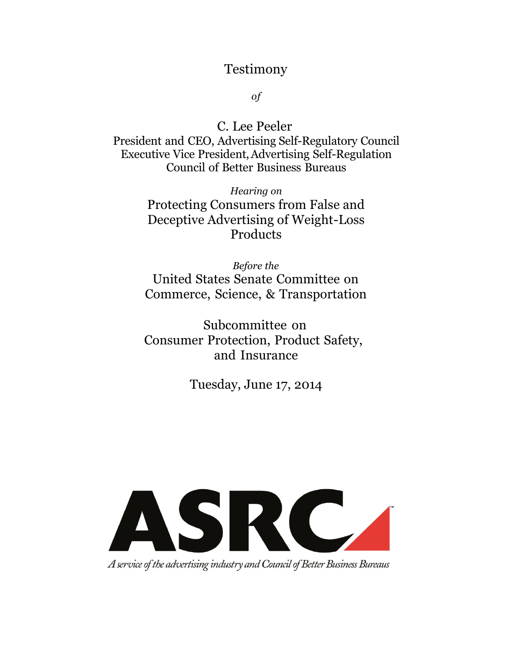### Testimony

*of*

C. Lee Peeler President and CEO, Advertising Self-Regulatory Council Executive Vice President,Advertising Self-Regulation Council of Better Business Bureaus

> *Hearing on* Protecting Consumers from False and Deceptive Advertising of Weight-Loss Products

> *Before the* United States Senate Committee on Commerce, Science, & Transportation

Subcommittee on Consumer Protection, Product Safety, and Insurance

Tuesday, June 17, 2014



A service of the advertising industry and Council of Better Business Bureaus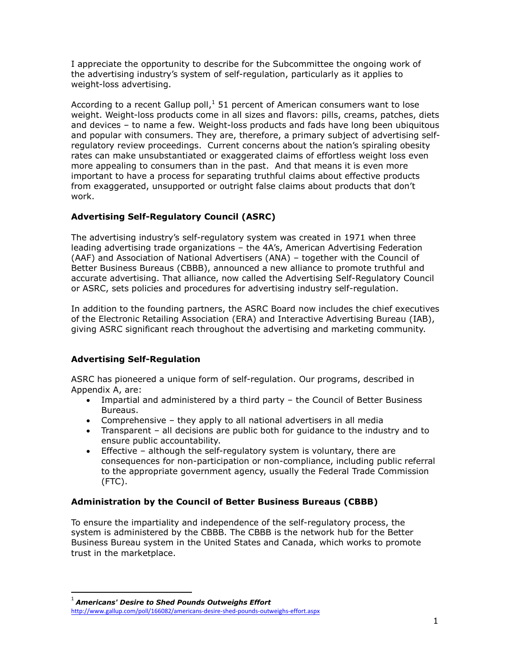I appreciate the opportunity to describe for the Subcommittee the ongoing work of the advertising industry's system of self-regulation, particularly as it applies to weight-loss advertising.

According to a recent Gallup poll, $<sup>1</sup>$  51 percent of American consumers want to lose</sup> weight. Weight-loss products come in all sizes and flavors: pills, creams, patches, diets and devices – to name a few. Weight-loss products and fads have long been ubiquitous and popular with consumers. They are, therefore, a primary subject of advertising selfregulatory review proceedings. Current concerns about the nation's spiraling obesity rates can make unsubstantiated or exaggerated claims of effortless weight loss even more appealing to consumers than in the past. And that means it is even more important to have a process for separating truthful claims about effective products from exaggerated, unsupported or outright false claims about products that don't work.

#### **Advertising Self-Regulatory Council (ASRC)**

The advertising industry's self-regulatory system was created in 1971 when three leading advertising trade organizations – the 4A's, American Advertising Federation (AAF) and Association of National Advertisers (ANA) – together with the Council of Better Business Bureaus (CBBB), announced a new alliance to promote truthful and accurate advertising. That alliance, now called the Advertising Self-Regulatory Council or ASRC, sets policies and procedures for advertising industry self-regulation.

In addition to the founding partners, the ASRC Board now includes the chief executives of the Electronic Retailing Association (ERA) and Interactive Advertising Bureau (IAB), giving ASRC significant reach throughout the advertising and marketing community.

#### **Advertising Self-Regulation**

ASRC has pioneered a unique form of self-regulation. Our programs, described in Appendix A, are:

- Impartial and administered by a third party the Council of Better Business Bureaus.
- Comprehensive they apply to all national advertisers in all media
- Transparent all decisions are public both for guidance to the industry and to ensure public accountability.
- Effective although the self-regulatory system is voluntary, there are consequences for non-participation or non-compliance, including public referral to the appropriate government agency, usually the Federal Trade Commission (FTC).

#### **Administration by the Council of Better Business Bureaus (CBBB)**

To ensure the impartiality and independence of the self-regulatory process, the system is administered by the CBBB. The CBBB is the network hub for the Better Business Bureau system in the United States and Canada, which works to promote trust in the marketplace.

1 *Americans' Desire to Shed Pounds Outweighs Effort*

 $\overline{a}$ 

<http://www.gallup.com/poll/166082/americans-desire-shed-pounds-outweighs-effort.aspx>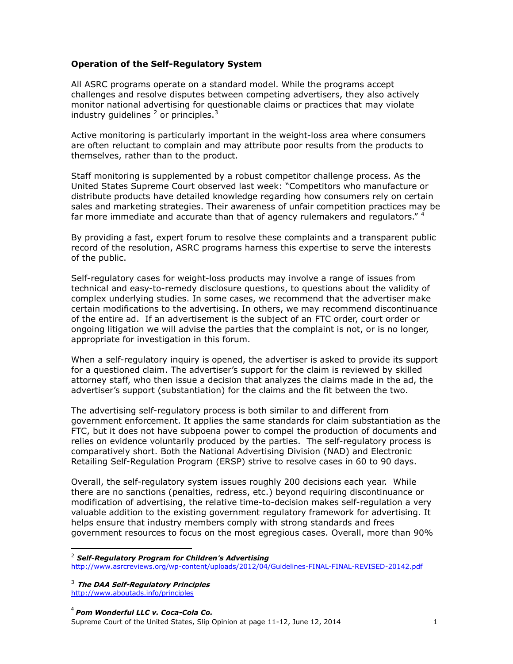#### **Operation of the Self-Regulatory System**

All ASRC programs operate on a standard model. While the programs accept challenges and resolve disputes between competing advertisers, they also actively monitor national advertising for questionable claims or practices that may violate industry guidelines  $^2$  or principles.<sup>3</sup>

Active monitoring is particularly important in the weight-loss area where consumers are often reluctant to complain and may attribute poor results from the products to themselves, rather than to the product.

Staff monitoring is supplemented by a robust competitor challenge process. As the United States Supreme Court observed last week: "Competitors who manufacture or distribute products have detailed knowledge regarding how consumers rely on certain sales and marketing strategies. Their awareness of unfair competition practices may be far more immediate and accurate than that of agency rulemakers and regulators."

By providing a fast, expert forum to resolve these complaints and a transparent public record of the resolution, ASRC programs harness this expertise to serve the interests of the public.

Self-regulatory cases for weight-loss products may involve a range of issues from technical and easy-to-remedy disclosure questions, to questions about the validity of complex underlying studies. In some cases, we recommend that the advertiser make certain modifications to the advertising. In others, we may recommend discontinuance of the entire ad. If an advertisement is the subject of an FTC order, court order or ongoing litigation we will advise the parties that the complaint is not, or is no longer, appropriate for investigation in this forum.

When a self-regulatory inquiry is opened, the advertiser is asked to provide its support for a questioned claim. The advertiser's support for the claim is reviewed by skilled attorney staff, who then issue a decision that analyzes the claims made in the ad, the advertiser's support (substantiation) for the claims and the fit between the two.

The advertising self-regulatory process is both similar to and different from government enforcement. It applies the same standards for claim substantiation as the FTC, but it does not have subpoena power to compel the production of documents and relies on evidence voluntarily produced by the parties. The self-regulatory process is comparatively short. Both the National Advertising Division (NAD) and Electronic Retailing Self-Regulation Program (ERSP) strive to resolve cases in 60 to 90 days.

Overall, the self-regulatory system issues roughly 200 decisions each year. While there are no sanctions (penalties, redress, etc.) beyond requiring discontinuance or modification of advertising, the relative time-to-decision makes self-regulation a very valuable addition to the existing government regulatory framework for advertising. It helps ensure that industry members comply with strong standards and frees government resources to focus on the most egregious cases. Overall, more than 90%

 $\overline{a}$ 

<sup>2</sup> *Self-Regulatory Program for Children's Advertising* <http://www.asrcreviews.org/wp-content/uploads/2012/04/Guidelines-FINAL-FINAL-REVISED-20142.pdf>

<sup>3</sup> **The DAA Self-Regulatory Principles**

<http://www.aboutads.info/principles>

<sup>4</sup> *Pom Wonderful LLC v. Coca-Cola Co.* Supreme Court of the United States, Slip Opinion at page 11-12, June 12, 2014 1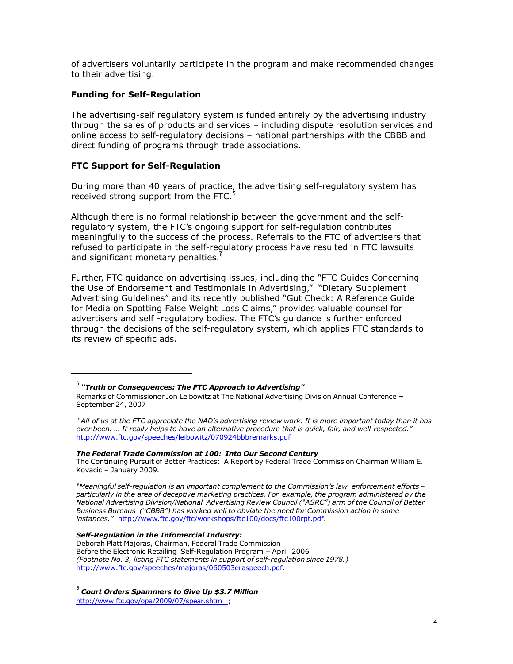of advertisers voluntarily participate in the program and make recommended changes to their advertising.

#### **Funding for Self-Regulation**

The advertising-self regulatory system is funded entirely by the advertising industry through the sales of products and services – including dispute resolution services and online access to self-regulatory decisions – national partnerships with the CBBB and direct funding of programs through trade associations.

#### **FTC Support for Self-Regulation**

 $\overline{a}$ 

During more than 40 years of practice, the advertising self-regulatory system has received strong support from the FTC.<sup>5</sup>

Although there is no formal relationship between the government and the selfregulatory system, the FTC's ongoing support for self-regulation contributes meaningfully to the success of the process. Referrals to the FTC of advertisers that refused to participate in the self-regulatory process have resulted in FTC lawsuits and significant monetary penalties.<sup>6</sup>

Further, FTC guidance on advertising issues, including the "FTC Guides Concerning the Use of Endorsement and Testimonials in Advertising," "Dietary Supplement Advertising Guidelines" and its recently published "Gut Check: A Reference Guide for Media on Spotting False Weight Loss Claims," provides valuable counsel for advertisers and self -regulatory bodies. The FTC's guidance is further enforced through the decisions of the self-regulatory system, which applies FTC standards to its review of specific ads.

#### *The Federal Trade Commission at 100: Into Our Second Century*

The Continuing Pursuit of Better Practices: A Report by Federal Trade Commission Chairman William E. Kovacic – January 2009.

*"Meaningful self-regulation is an important complement to the Commission's law enforcement efforts – particularly in the area of deceptive marketing practices. For example, the program administered by the National Advertising Division/National Advertising Review Council ("ASRC") arm of the Council of Better Business Bureaus ("CBBB") has worked well to obviate the need for Commission action in some instances."* [http://www.ftc.gov/ftc/workshops/ftc100/docs/ftc100rpt.pdf.](http://www.ftc.gov/ftc/workshops/ftc100/docs/ftc100rpt.pdf)

#### *Self-Regulation in the Infomercial Industry:*

Deborah Platt Majoras, Chairman, Federal Trade Commission Before the Electronic Retailing Self-Regulation Program – April 2006 *(Footnote No. 3, listing FTC statements in support of self-regulation since 1978.)* [http://www.ftc.gov/speeches/majoras/060503eraspeech.pdf.](http://www.ftc.gov/speeches/majoras/060503eraspeech.pdf)

6 *Court Orders Spammers to Give Up \$3.7 Million* <http://www.ftc.gov/opa/2009/07/spear.shtm> ;

<sup>5</sup> *"Truth or Consequences: The FTC Approach to Advertising"*

Remarks of Commissioner Jon Leibowitz at The National Advertising Division Annual Conference **–** September 24, 2007

<sup>&</sup>quot;All of us at the FTC appreciate the NAD's advertising review work. It is more important today than it has ever been. ... It really helps to have an alternative procedure that is quick, fair, and well-respected." <http://www.ftc.gov/speeches/leibowitz/070924bbbremarks.pdf>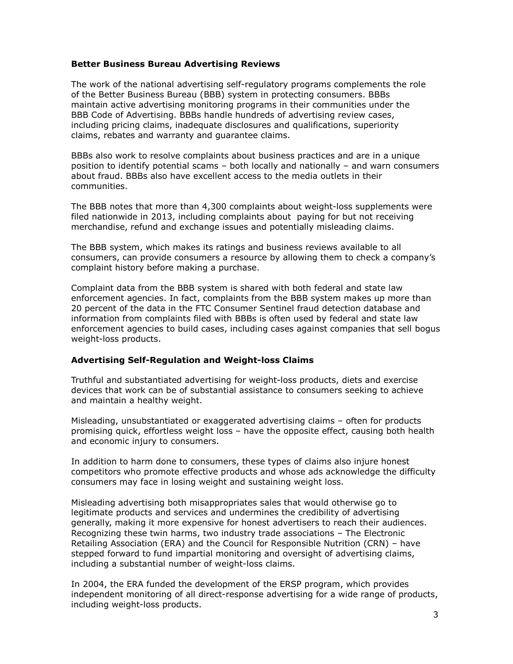#### **Better Business Bureau Advertising Reviews**

The work of the national advertising self-regulatory programs complements the role of the Better Business Bureau (BBB) system in protecting consumers. BBBs maintain active advertising monitoring programs in their communities under the BBB Code of Advertising. BBBs handle hundreds of advertising review cases, including pricing claims, inadequate disclosures and qualifications, superiority claims, rebates and warranty and guarantee claims.

BBBs also work to resolve complaints about business practices and are in a unique position to identify potential scams – both locally and nationally – and warn consumers about fraud. BBBs also have excellent access to the media outlets in their communities.

The BBB notes that more than 4,300 complaints about weight-loss supplements were filed nationwide in 2013, including complaints about paying for but not receiving merchandise, refund and exchange issues and potentially misleading claims.

The BBB system, which makes its ratings and business reviews available to all consumers, can provide consumers a resource by allowing them to check a company's complaint history before making a purchase.

Complaint data from the BBB system is shared with both federal and state law enforcement agencies. In fact, complaints from the BBB system makes up more than 20 percent of the data in the FTC Consumer Sentinel fraud detection database and information from complaints filed with BBBs is often used by federal and state law enforcement agencies to build cases, including cases against companies that sell bogus weight-loss products.

#### **Advertising Self-Regulation and Weight-loss Claims**

Truthful and substantiated advertising for weight-loss products, diets and exercise devices that work can be of substantial assistance to consumers seeking to achieve and maintain a healthy weight.

Misleading, unsubstantiated or exaggerated advertising claims – often for products promising quick, effortless weight loss – have the opposite effect, causing both health and economic injury to consumers.

In addition to harm done to consumers, these types of claims also injure honest competitors who promote effective products and whose ads acknowledge the difficulty consumers may face in losing weight and sustaining weight loss.

Misleading advertising both misappropriates sales that would otherwise go to legitimate products and services and undermines the credibility of advertising generally, making it more expensive for honest advertisers to reach their audiences. Recognizing these twin harms, two industry trade associations – The Electronic Retailing Association (ERA) and the Council for Responsible Nutrition (CRN) – have stepped forward to fund impartial monitoring and oversight of advertising claims, including a substantial number of weight-loss claims.

In 2004, the ERA funded the development of the ERSP program, which provides independent monitoring of all direct-response advertising for a wide range of products, including weight-loss products.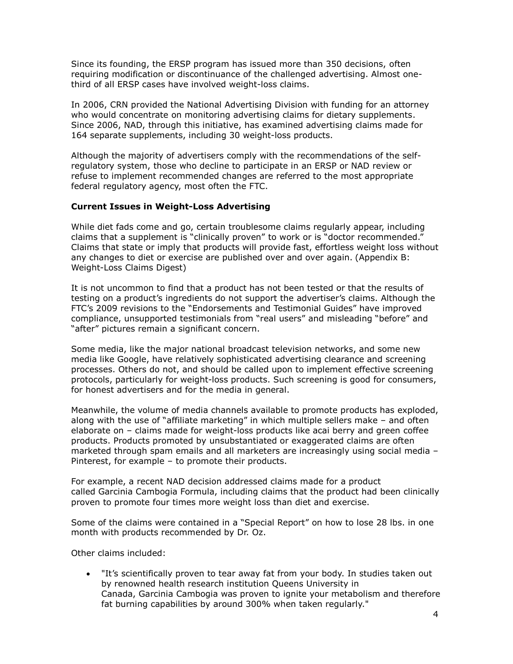Since its founding, the ERSP program has issued more than 350 decisions, often requiring modification or discontinuance of the challenged advertising. Almost onethird of all ERSP cases have involved weight-loss claims.

In 2006, CRN provided the National Advertising Division with funding for an attorney who would concentrate on monitoring advertising claims for dietary supplements. Since 2006, NAD, through this initiative, has examined advertising claims made for 164 separate supplements, including 30 weight-loss products.

Although the majority of advertisers comply with the recommendations of the selfregulatory system, those who decline to participate in an ERSP or NAD review or refuse to implement recommended changes are referred to the most appropriate federal regulatory agency, most often the FTC.

#### **Current Issues in Weight-Loss Advertising**

While diet fads come and go, certain troublesome claims regularly appear, including claims that a supplement is "clinically proven" to work or is "doctor recommended." Claims that state or imply that products will provide fast, effortless weight loss without any changes to diet or exercise are published over and over again. (Appendix B: Weight-Loss Claims Digest)

It is not uncommon to find that a product has not been tested or that the results of testing on a product's ingredients do not support the advertiser's claims. Although the FTC's 2009 revisions to the "Endorsements and Testimonial Guides" have improved compliance, unsupported testimonials from "real users" and misleading "before" and "after" pictures remain a significant concern.

Some media, like the major national broadcast television networks, and some new media like Google, have relatively sophisticated advertising clearance and screening processes. Others do not, and should be called upon to implement effective screening protocols, particularly for weight-loss products. Such screening is good for consumers, for honest advertisers and for the media in general.

Meanwhile, the volume of media channels available to promote products has exploded, along with the use of "affiliate marketing" in which multiple sellers make – and often elaborate on – claims made for weight-loss products like acai berry and green coffee products. Products promoted by unsubstantiated or exaggerated claims are often marketed through spam emails and all marketers are increasingly using social media – Pinterest, for example – to promote their products.

For example, a recent NAD decision addressed claims made for a product called Garcinia Cambogia Formula, including claims that the product had been clinically proven to promote four times more weight loss than diet and exercise.

Some of the claims were contained in a "Special Report" on how to lose 28 lbs. in one month with products recommended by Dr. Oz.

Other claims included:

 "It's scientifically proven to tear away fat from your body. In studies taken out by renowned health research institution Queens University in Canada, Garcinia Cambogia was proven to ignite your metabolism and therefore fat burning capabilities by around 300% when taken regularly."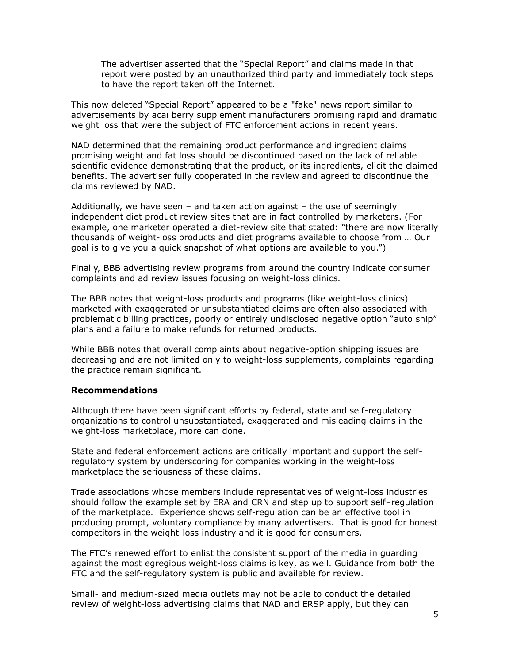The advertiser asserted that the "Special Report" and claims made in that report were posted by an unauthorized third party and immediately took steps to have the report taken off the Internet.

This now deleted "Special Report" appeared to be a "fake" news report similar to advertisements by acai berry supplement manufacturers promising rapid and dramatic weight loss that were the subject of FTC enforcement actions in recent years.

NAD determined that the remaining product performance and ingredient claims promising weight and fat loss should be discontinued based on the lack of reliable scientific evidence demonstrating that the product, or its ingredients, elicit the claimed benefits. The advertiser fully cooperated in the review and agreed to discontinue the claims reviewed by NAD.

Additionally, we have seen  $-$  and taken action against  $-$  the use of seemingly independent diet product review sites that are in fact controlled by marketers. (For example, one marketer operated a diet-review site that stated: "there are now literally thousands of weight-loss products and diet programs available to choose from … Our goal is to give you a quick snapshot of what options are available to you.")

Finally, BBB advertising review programs from around the country indicate consumer complaints and ad review issues focusing on weight-loss clinics.

The BBB notes that weight-loss products and programs (like weight-loss clinics) marketed with exaggerated or unsubstantiated claims are often also associated with problematic billing practices, poorly or entirely undisclosed negative option "auto ship" plans and a failure to make refunds for returned products.

While BBB notes that overall complaints about negative-option shipping issues are decreasing and are not limited only to weight-loss supplements, complaints regarding the practice remain significant.

#### **Recommendations**

Although there have been significant efforts by federal, state and self-regulatory organizations to control unsubstantiated, exaggerated and misleading claims in the weight-loss marketplace, more can done.

State and federal enforcement actions are critically important and support the selfregulatory system by underscoring for companies working in the weight-loss marketplace the seriousness of these claims.

Trade associations whose members include representatives of weight-loss industries should follow the example set by ERA and CRN and step up to support self–regulation of the marketplace. Experience shows self-regulation can be an effective tool in producing prompt, voluntary compliance by many advertisers. That is good for honest competitors in the weight-loss industry and it is good for consumers.

The FTC's renewed effort to enlist the consistent support of the media in guarding against the most egregious weight-loss claims is key, as well. Guidance from both the FTC and the self-regulatory system is public and available for review.

Small- and medium-sized media outlets may not be able to conduct the detailed review of weight-loss advertising claims that NAD and ERSP apply, but they can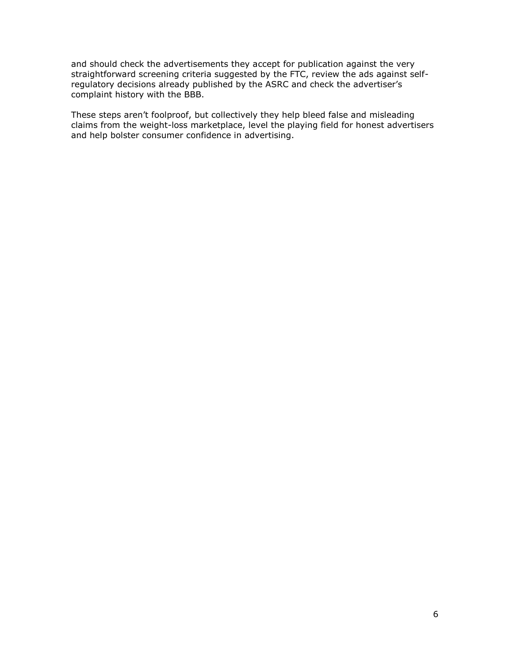and should check the advertisements they accept for publication against the very straightforward screening criteria suggested by the FTC, review the ads against selfregulatory decisions already published by the ASRC and check the advertiser's complaint history with the BBB.

These steps aren't foolproof, but collectively they help bleed false and misleading claims from the weight-loss marketplace, level the playing field for honest advertisers and help bolster consumer confidence in advertising.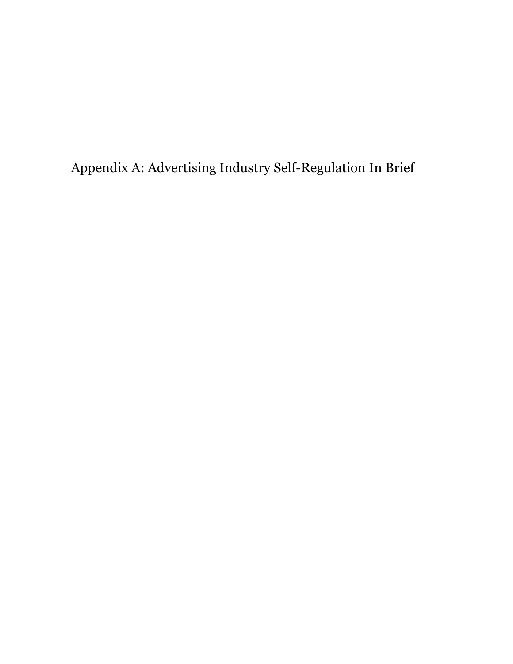Appendix A: Advertising Industry Self-Regulation In Brief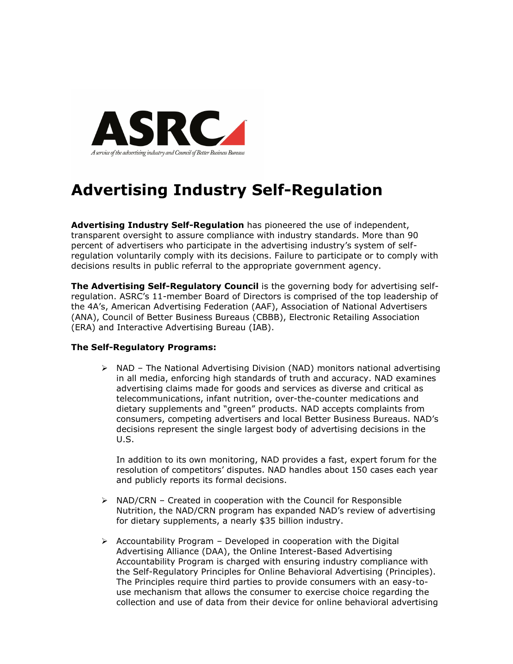

## **Advertising Industry Self-Regulation**

**Advertising Industry Self-Regulation** has pioneered the use of independent, transparent oversight to assure compliance with industry standards. More than 90 percent of advertisers who participate in the advertising industry's system of selfregulation voluntarily comply with its decisions. Failure to participate or to comply with decisions results in public referral to the appropriate government agency.

**The Advertising Self-Regulatory Council** is the governing body for advertising selfregulation. ASRC's 11-member Board of Directors is comprised of the top leadership of the 4A's, American Advertising Federation (AAF), Association of National Advertisers (ANA), Council of Better Business Bureaus (CBBB), Electronic Retailing Association (ERA) and Interactive Advertising Bureau (IAB).

#### **The Self-Regulatory Programs:**

 $\triangleright$  NAD – The National Advertising Division (NAD) monitors national advertising in all media, enforcing high standards of truth and accuracy. NAD examines advertising claims made for goods and services as diverse and critical as telecommunications, infant nutrition, over-the-counter medications and dietary supplements and "green" products. NAD accepts complaints from consumers, competing advertisers and local Better Business Bureaus. NAD's decisions represent the single largest body of advertising decisions in the U.S.

In addition to its own monitoring, NAD provides a fast, expert forum for the resolution of competitors' disputes. NAD handles about 150 cases each year and publicly reports its formal decisions.

- $\triangleright$  NAD/CRN Created in cooperation with the Council for Responsible Nutrition, the NAD/CRN program has expanded NAD's review of advertising for dietary supplements, a nearly \$35 billion industry.
- $\triangleright$  Accountability Program Developed in cooperation with the Digital Advertising Alliance (DAA), the Online Interest-Based Advertising Accountability Program is charged with ensuring industry compliance with the Self-Regulatory Principles for Online Behavioral Advertising (Principles). The Principles require third parties to provide consumers with an easy-touse mechanism that allows the consumer to exercise choice regarding the collection and use of data from their device for online behavioral advertising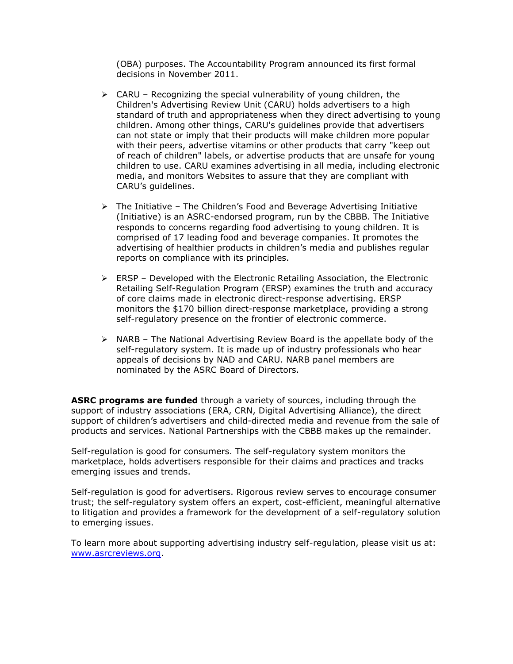(OBA) purposes. The Accountability Program announced its first formal decisions in November 2011.

- $\triangleright$  CARU Recognizing the special vulnerability of young children, the Children's Advertising Review Unit (CARU) holds advertisers to a high standard of truth and appropriateness when they direct advertising to young children. Among other things, CARU's guidelines provide that advertisers can not state or imply that their products will make children more popular with their peers, advertise vitamins or other products that carry "keep out of reach of children" labels, or advertise products that are unsafe for young children to use. CARU examines advertising in all media, including electronic media, and monitors Websites to assure that they are compliant with CARU's guidelines.
- $\triangleright$  The Initiative The Children's Food and Beverage Advertising Initiative (Initiative) is an ASRC-endorsed program, run by the CBBB. The Initiative responds to concerns regarding food advertising to young children. It is comprised of 17 leading food and beverage companies. It promotes the advertising of healthier products in children's media and publishes regular reports on compliance with its principles.
- $\triangleright$  ERSP Developed with the Electronic Retailing Association, the Electronic Retailing Self-Regulation Program (ERSP) examines the truth and accuracy of core claims made in electronic direct-response advertising. ERSP monitors the \$170 billion direct-response marketplace, providing a strong self-regulatory presence on the frontier of electronic commerce.
- $\triangleright$  NARB The National Advertising Review Board is the appellate body of the self-regulatory system. It is made up of industry professionals who hear appeals of decisions by NAD and CARU. NARB panel members are nominated by the ASRC Board of Directors.

**ASRC programs are funded** through a variety of sources, including through the support of industry associations (ERA, CRN, Digital Advertising Alliance), the direct support of children's advertisers and child-directed media and revenue from the sale of products and services. National Partnerships with the CBBB makes up the remainder.

Self-regulation is good for consumers. The self-regulatory system monitors the marketplace, holds advertisers responsible for their claims and practices and tracks emerging issues and trends.

Self-regulation is good for advertisers. Rigorous review serves to encourage consumer trust; the self-regulatory system offers an expert, cost-efficient, meaningful alternative to litigation and provides a framework for the development of a self-regulatory solution to emerging issues.

To learn more about supporting advertising industry self-regulation, please visit us at: [www.asrcreviews.org.](http://www.asrcreviews.org/)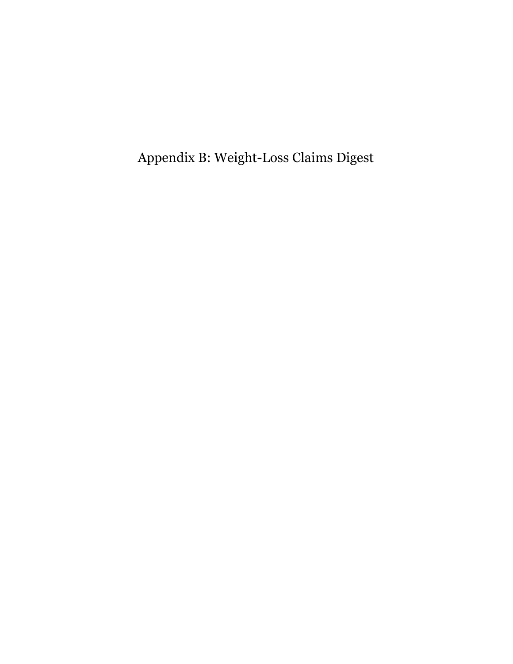Appendix B: Weight-Loss Claims Digest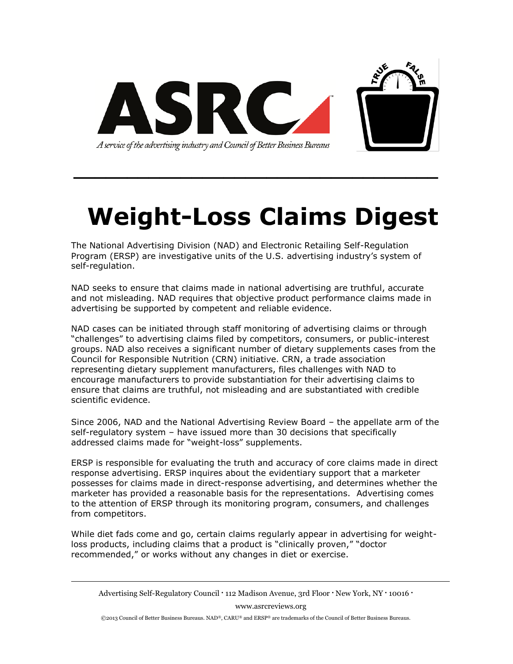

# **Weight-Loss Claims Digest**

**\_\_\_\_\_\_\_\_\_\_\_\_\_\_\_\_\_\_\_\_\_\_\_\_\_\_\_\_\_\_\_\_\_\_**

The National Advertising Division (NAD) and Electronic Retailing Self-Regulation Program (ERSP) are investigative units of the U.S. advertising industry's system of self-regulation.

NAD seeks to ensure that claims made in national advertising are truthful, accurate and not misleading. NAD requires that objective product performance claims made in advertising be supported by competent and reliable evidence.

NAD cases can be initiated through staff monitoring of advertising claims or through "challenges" to advertising claims filed by competitors, consumers, or public-interest groups. NAD also receives a significant number of dietary supplements cases from the Council for Responsible Nutrition (CRN) initiative. CRN, a trade association representing dietary supplement manufacturers, files challenges with NAD to encourage manufacturers to provide substantiation for their advertising claims to ensure that claims are truthful, not misleading and are substantiated with credible scientific evidence.

Since 2006, NAD and the National Advertising Review Board – the appellate arm of the self-regulatory system – have issued more than 30 decisions that specifically addressed claims made for "weight-loss" supplements.

ERSP is responsible for evaluating the truth and accuracy of core claims made in direct response advertising. ERSP inquires about the evidentiary support that a marketer possesses for claims made in direct-response advertising, and determines whether the marketer has provided a reasonable basis for the representations. Advertising comes to the attention of ERSP through its monitoring program, consumers, and challenges from competitors.

While diet fads come and go, certain claims regularly appear in advertising for weightloss products, including claims that a product is "clinically proven," "doctor recommended," or works without any changes in diet or exercise.

Advertising Self-Regulatory Council • 112 Madison Avenue, 3rd Floor • New York, NY • 10016 • www.asrcreviews.org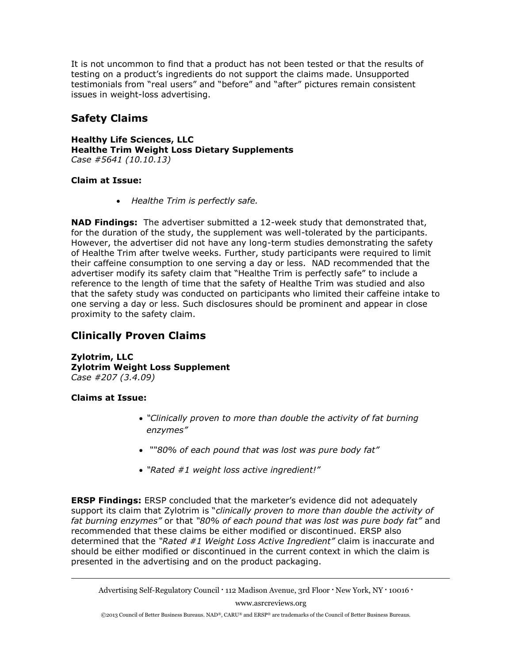It is not uncommon to find that a product has not been tested or that the results of testing on a product's ingredients do not support the claims made. Unsupported testimonials from "real users" and "before" and "after" pictures remain consistent issues in weight-loss advertising.

#### **Safety Claims**

**Healthy Life Sciences, LLC Healthe Trim Weight Loss Dietary Supplements** *Case #5641 (10.10.13)*

#### **Claim at Issue:**

*Healthe Trim is perfectly safe.*

**NAD Findings:** The advertiser submitted a 12-week study that demonstrated that, for the duration of the study, the supplement was well-tolerated by the participants. However, the advertiser did not have any long-term studies demonstrating the safety of Healthe Trim after twelve weeks. Further, study participants were required to limit their caffeine consumption to one serving a day or less. NAD recommended that the advertiser modify its safety claim that "Healthe Trim is perfectly safe" to include a reference to the length of time that the safety of Healthe Trim was studied and also that the safety study was conducted on participants who limited their caffeine intake to one serving a day or less. Such disclosures should be prominent and appear in close proximity to the safety claim.

#### **Clinically Proven Claims**

**Zylotrim, LLC Zylotrim Weight Loss Supplement** *Case #207 (3.4.09)* 

#### **Claims at Issue:**

- *"Clinically proven to more than double the activity of fat burning enzymes"*
- *""80% of each pound that was lost was pure body fat"*
- *"Rated #1 weight loss active ingredient!"*

**ERSP Findings:** ERSP concluded that the marketer's evidence did not adequately support its claim that Zylotrim is "*clinically proven to more than double the activity of fat burning enzymes"* or that *"80% of each pound that was lost was pure body fat"* and recommended that these claims be either modified or discontinued. ERSP also determined that the *"Rated #1 Weight Loss Active Ingredient"* claim is inaccurate and should be either modified or discontinued in the current context in which the claim is presented in the advertising and on the product packaging.

www.asrcreviews.org

Advertising Self-Regulatory Council • 112 Madison Avenue, 3rd Floor • New York, NY • 10016 •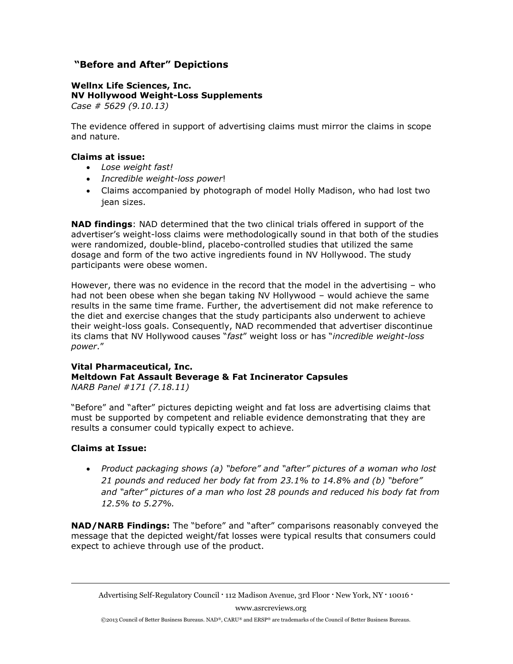#### **"Before and After" Depictions**

#### **Wellnx Life Sciences, Inc. NV Hollywood Weight-Loss Supplements**  *Case # 5629 (9.10.13)*

The evidence offered in support of advertising claims must mirror the claims in scope and nature.

#### **Claims at issue:**

- *Lose weight fast!*
- *Incredible weight-loss power*!
- Claims accompanied by photograph of model Holly Madison, who had lost two iean sizes.

**NAD findings**: NAD determined that the two clinical trials offered in support of the advertiser's weight-loss claims were methodologically sound in that both of the studies were randomized, double-blind, placebo-controlled studies that utilized the same dosage and form of the two active ingredients found in NV Hollywood. The study participants were obese women.

However, there was no evidence in the record that the model in the advertising – who had not been obese when she began taking NV Hollywood – would achieve the same results in the same time frame. Further, the advertisement did not make reference to the diet and exercise changes that the study participants also underwent to achieve their weight-loss goals. Consequently, NAD recommended that advertiser discontinue its clams that NV Hollywood causes "*fast*" weight loss or has "*incredible weight-loss power*."

#### **Vital Pharmaceutical, Inc. Meltdown Fat Assault Beverage & Fat Incinerator Capsules** *NARB Panel #171 (7.18.11)*

"Before" and "after" pictures depicting weight and fat loss are advertising claims that must be supported by competent and reliable evidence demonstrating that they are results a consumer could typically expect to achieve.

#### **Claims at Issue:**

 *Product packaging shows (a) "before" and "after" pictures of a woman who lost 21 pounds and reduced her body fat from 23.1% to 14.8% and (b) "before" and "after" pictures of a man who lost 28 pounds and reduced his body fat from 12.5% to 5.27%.*

**NAD/NARB Findings:** The "before" and "after" comparisons reasonably conveyed the message that the depicted weight/fat losses were typical results that consumers could expect to achieve through use of the product.

www.asrcreviews.org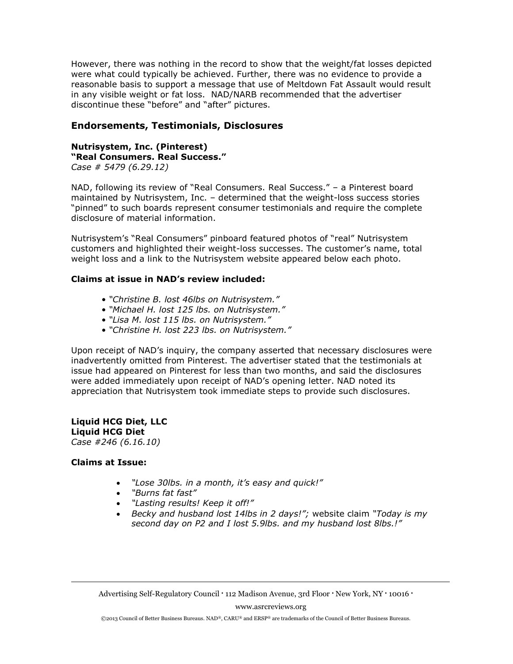However, there was nothing in the record to show that the weight/fat losses depicted were what could typically be achieved. Further, there was no evidence to provide a reasonable basis to support a message that use of Meltdown Fat Assault would result in any visible weight or fat loss. NAD/NARB recommended that the advertiser discontinue these "before" and "after" pictures.

#### **Endorsements, Testimonials, Disclosures**

#### **Nutrisystem, Inc. (Pinterest) "Real Consumers. Real Success."** *Case # 5479 (6.29.12)*

NAD, following its review of "Real Consumers. Real Success." – a Pinterest board maintained by Nutrisystem, Inc. – determined that the weight-loss success stories "pinned" to such boards represent consumer testimonials and require the complete disclosure of material information.

Nutrisystem's "Real Consumers" pinboard featured photos of "real" Nutrisystem customers and highlighted their weight-loss successes. The customer's name, total weight loss and a link to the Nutrisystem website appeared below each photo.

#### **Claims at issue in NAD's review included:**

- *"Christine B. lost 46lbs on Nutrisystem."*
- *"Michael H. lost 125 lbs. on Nutrisystem."*
- *"Lisa M. lost 115 lbs. on Nutrisystem."*
- *"Christine H. lost 223 lbs. on Nutrisystem."*

Upon receipt of NAD's inquiry, the company asserted that necessary disclosures were inadvertently omitted from Pinterest. The advertiser stated that the testimonials at issue had appeared on Pinterest for less than two months, and said the disclosures were added immediately upon receipt of NAD's opening letter. NAD noted its appreciation that Nutrisystem took immediate steps to provide such disclosures.

**Liquid HCG Diet, LLC Liquid HCG Diet** *Case #246 (6.16.10)* 

#### **Claims at Issue:**

- *"Lose 30lbs. in a month, it's easy and quick!"*
- *"Burns fat fast"*
- *"Lasting results! Keep it off!"*
- *Becky and husband lost 14lbs in 2 days!";* website claim *"Today is my second day on P2 and I lost 5.9lbs. and my husband lost 8lbs.!"*

Advertising Self-Regulatory Council • 112 Madison Avenue, 3rd Floor • New York, NY • 10016 •

www.asrcreviews.org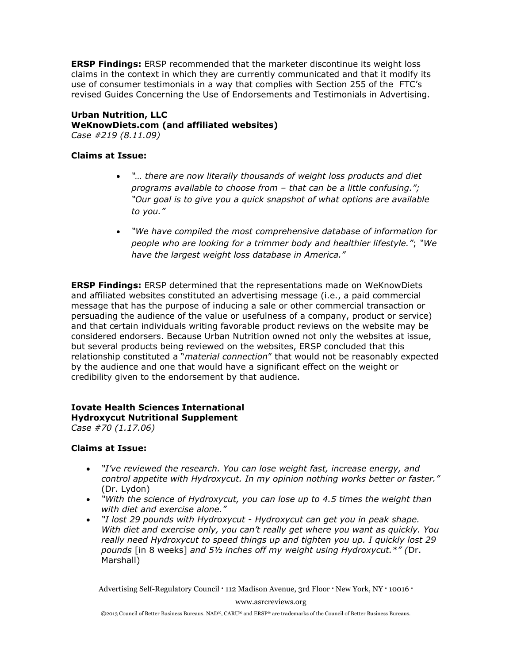**ERSP Findings:** ERSP recommended that the marketer discontinue its weight loss claims in the context in which they are currently communicated and that it modify its use of consumer testimonials in a way that complies with Section 255 of the FTC's revised Guides Concerning the Use of Endorsements and Testimonials in Advertising.

**Urban Nutrition, LLC WeKnowDiets.com (and affiliated websites)** *Case #219 (8.11.09)*

#### **Claims at Issue:**

- *"… there are now literally thousands of weight loss products and diet programs available to choose from – that can be a little confusing."; "Our goal is to give you a quick snapshot of what options are available to you."*
- *"We have compiled the most comprehensive database of information for people who are looking for a trimmer body and healthier lifestyle."*; *"We have the largest weight loss database in America."*

**ERSP Findings:** ERSP determined that the representations made on WeKnowDiets and affiliated websites constituted an advertising message (i.e., a paid commercial message that has the purpose of inducing a sale or other commercial transaction or persuading the audience of the value or usefulness of a company, product or service) and that certain individuals writing favorable product reviews on the website may be considered endorsers. Because Urban Nutrition owned not only the websites at issue, but several products being reviewed on the websites, ERSP concluded that this relationship constituted a "*material connection*" that would not be reasonably expected by the audience and one that would have a significant effect on the weight or credibility given to the endorsement by that audience.

#### **Iovate Health Sciences International**

#### **Hydroxycut Nutritional Supplement**

*Case #70 (1.17.06)* 

#### **Claims at Issue:**

- *"I've reviewed the research. You can lose weight fast, increase energy, and control appetite with Hydroxycut. In my opinion nothing works better or faster."*  (Dr. Lydon)
- *"With the science of Hydroxycut, you can lose up to 4.5 times the weight than with diet and exercise alone."*
- *"I lost 29 pounds with Hydroxycut Hydroxycut can get you in peak shape. With diet and exercise only, you can't really get where you want as quickly. You really need Hydroxycut to speed things up and tighten you up. I quickly lost 29 pounds* [in 8 weeks] *and 5½ inches off my weight using Hydroxycut.\*" (*Dr. Marshall)

Advertising Self-Regulatory Council • 112 Madison Avenue, 3rd Floor • New York, NY • 10016 •

www.asrcreviews.org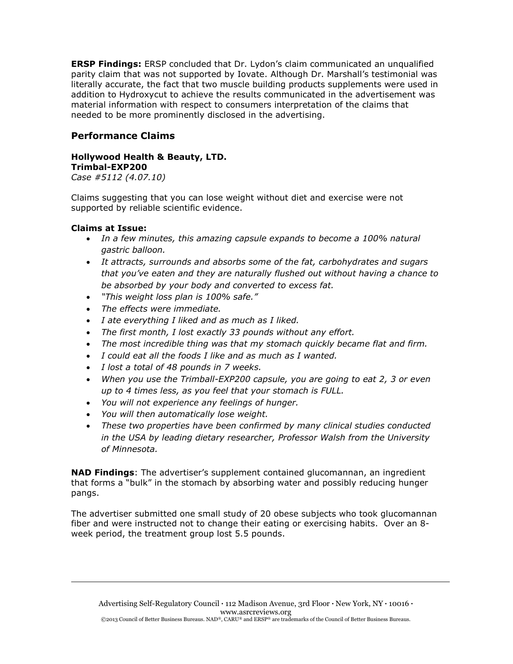**ERSP Findings:** ERSP concluded that Dr. Lydon's claim communicated an unqualified parity claim that was not supported by Iovate. Although Dr. Marshall's testimonial was literally accurate, the fact that two muscle building products supplements were used in addition to Hydroxycut to achieve the results communicated in the advertisement was material information with respect to consumers interpretation of the claims that needed to be more prominently disclosed in the advertising.

#### **Performance Claims**

#### **Hollywood Health & Beauty, LTD. Trimbal-EXP200**

*Case #5112 (4.07.10)*

Claims suggesting that you can lose weight without diet and exercise were not supported by reliable scientific evidence.

#### **Claims at Issue:**

- *In a few minutes, this amazing capsule expands to become a 100% natural gastric balloon.*
- *It attracts, surrounds and absorbs some of the fat, carbohydrates and sugars that you've eaten and they are naturally flushed out without having a chance to be absorbed by your body and converted to excess fat.*
- *"This weight loss plan is 100% safe."*
- *The effects were immediate.*
- *I ate everything I liked and as much as I liked.*
- *The first month, I lost exactly 33 pounds without any effort.*
- *The most incredible thing was that my stomach quickly became flat and firm.*
- *I could eat all the foods I like and as much as I wanted.*
- *I lost a total of 48 pounds in 7 weeks.*
- *When you use the Trimball-EXP200 capsule, you are going to eat 2, 3 or even up to 4 times less, as you feel that your stomach is FULL.*
- *You will not experience any feelings of hunger.*
- *You will then automatically lose weight.*
- *These two properties have been confirmed by many clinical studies conducted in the USA by leading dietary researcher, Professor Walsh from the University of Minnesota.*

**NAD Findings**: The advertiser's supplement contained glucomannan, an ingredient that forms a "bulk" in the stomach by absorbing water and possibly reducing hunger pangs.

The advertiser submitted one small study of 20 obese subjects who took glucomannan fiber and were instructed not to change their eating or exercising habits. Over an 8 week period, the treatment group lost 5.5 pounds.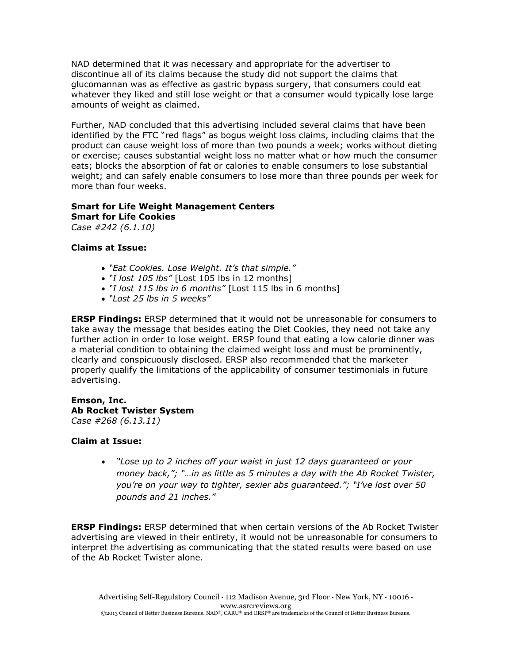NAD determined that it was necessary and appropriate for the advertiser to discontinue all of its claims because the study did not support the claims that glucomannan was as effective as gastric bypass surgery, that consumers could eat whatever they liked and still lose weight or that a consumer would typically lose large amounts of weight as claimed.

Further, NAD concluded that this advertising included several claims that have been identified by the FTC "red flags" as bogus weight loss claims, including claims that the product can cause weight loss of more than two pounds a week; works without dieting or exercise; causes substantial weight loss no matter what or how much the consumer eats; blocks the absorption of fat or calories to enable consumers to lose substantial weight; and can safely enable consumers to lose more than three pounds per week for more than four weeks.

#### **Smart for Life Weight Management Centers Smart for Life Cookies**

*Case #242 (6.1.10)* 

#### **Claims at Issue:**

- *"Eat Cookies. Lose Weight. It's that simple."*
- *"I lost 105 lbs"* [Lost 105 lbs in 12 months]
- *"I lost 115 lbs in 6 months"* [Lost 115 lbs in 6 months]
- *"Lost 25 lbs in 5 weeks"*

**ERSP Findings:** ERSP determined that it would not be unreasonable for consumers to take away the message that besides eating the Diet Cookies, they need not take any further action in order to lose weight. ERSP found that eating a low calorie dinner was a material condition to obtaining the claimed weight loss and must be prominently, clearly and conspicuously disclosed. ERSP also recommended that the marketer properly qualify the limitations of the applicability of consumer testimonials in future advertising.

#### **Emson, Inc. Ab Rocket Twister System** *Case #268 (6.13.11)*

#### **Claim at Issue:**

 *"Lose up to 2 inches off your waist in just 12 days guaranteed or your money back,"; "…in as little as 5 minutes a day with the Ab Rocket Twister, you're on your way to tighter, sexier abs guaranteed."; "I've lost over 50 pounds and 21 inches."*

**ERSP Findings:** ERSP determined that when certain versions of the Ab Rocket Twister advertising are viewed in their entirety, it would not be unreasonable for consumers to interpret the advertising as communicating that the stated results were based on use of the Ab Rocket Twister alone.